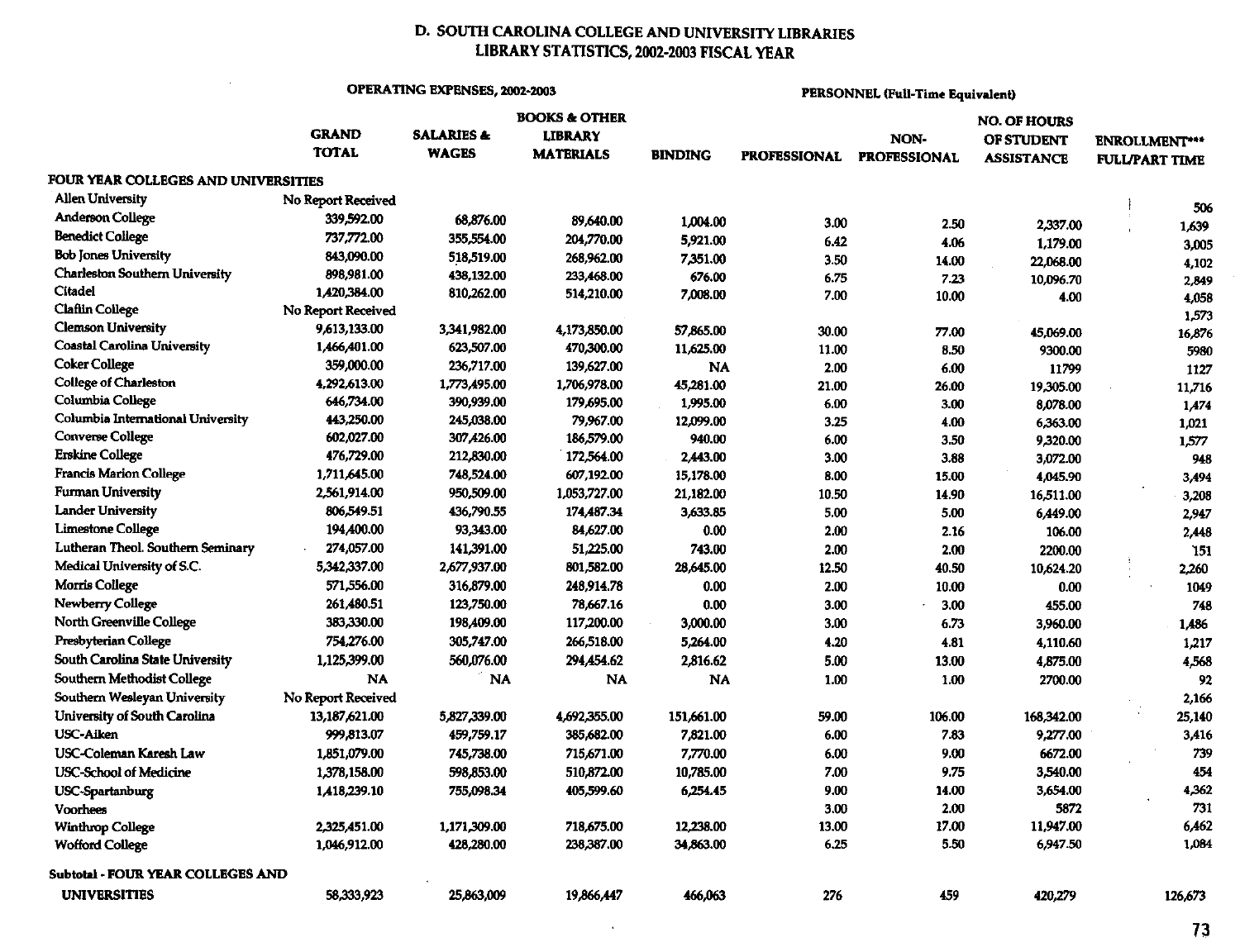# D. SOUTH CAROLINA COLLEGE AND UNIVERSITY LIBRARIES LIBRARY STATISTICS, 2002-2003 FISCAL YEAR

### **OPERATING EXPENSES, 2002-2003**

 $\alpha$ 

**PERSONNEL (Full-Time Equivalent)** 

|                                          | <b>BOOKS &amp; OTHER</b> |                       |                  |                | <b>NO. OF HOURS</b> |                     |                   |                       |  |
|------------------------------------------|--------------------------|-----------------------|------------------|----------------|---------------------|---------------------|-------------------|-----------------------|--|
|                                          | <b>GRAND</b>             | <b>SALARIES &amp;</b> | <b>LIBRARY</b>   |                |                     | NON-                | OF STUDENT        | <b>ENROLLMENT***</b>  |  |
|                                          | <b>TOTAL</b>             | <b>WAGES</b>          | <b>MATERIALS</b> | <b>BINDING</b> | <b>PROFESSIONAL</b> | <b>PROFESSIONAL</b> | <b>ASSISTANCE</b> | <b>FULL/PART TIME</b> |  |
| FOUR YEAR COLLEGES AND UNIVERSITIES      |                          |                       |                  |                |                     |                     |                   |                       |  |
| <b>Allen University</b>                  | No Report Received       |                       |                  |                |                     |                     |                   | 506                   |  |
| <b>Anderson College</b>                  | 339,592.00               | 68,876.00             | 89,640.00        | 1,004.00       | 3.00                | 2.50                | 2,337.00          | 1,639                 |  |
| Benedict College                         | 737.772.00               | 355,554.00            | 204,770.00       | 5,921.00       | 6.42                | 4.06                | 1,179.00          |                       |  |
| Bob Jones University                     | 843,090.00               | 518,519.00            | 268,962.00       | 7,351.00       | 3.50                | 14.00               | 22,068.00         | 3,005                 |  |
| Charleston Southern University           | 898,981.00               | 438.132.00            | 233,468.00       | 676.00         | 6.75                | 7.23                | 10,096.70         | 4,102<br>2,849        |  |
| Citadel                                  | 1,420,384.00             | 810,262.00            | 514,210.00       | 7,008.00       | 7.00                | 10.00               | 4.00              | 4,058                 |  |
| <b>Claflin College</b>                   | No Report Received       |                       |                  |                |                     |                     |                   | 1,573                 |  |
| <b>Clemson University</b>                | 9,613,133.00             | 3,341,982.00          | 4,173,850.00     | 57,865.00      | 30.00               | 77.00               | 45,069.00         | 16,876                |  |
| <b>Coastal Carolina University</b>       | 1,466,401.00             | 623,507.00            | 470,300.00       | 11,625.00      | 11.00               | 8.50                | 9300.00           | 5980                  |  |
| Coker College                            | 359,000.00               | 236,717.00            | 139,627.00       | <b>NA</b>      | 2.00                | 6.00                | 11799             | 1127                  |  |
| College of Charleston                    | 4,292,613.00             | 1,773,495.00          | 1,706,978.00     | 45,281.00      | 21.00               | 26.00               | 19,305.00         | 11,716                |  |
| Columbia College                         | 646,734.00               | 390,939.00            | 179,695.00       | 1,995.00       | 6.00                | 3.00                | 8,078.00          | 1,474                 |  |
| Columbia International University        | 443,250.00               | 245,038.00            | 79,967.00        | 12,099.00      | 3.25                | 4.00                | 6,363.00          | 1,021                 |  |
| Converse College                         | 602,027.00               | 307,426.00            | 186,579.00       | 940.00         | 6.00                | 3.50                | 9,320.00          | 1,577                 |  |
| <b>Erskine College</b>                   | 476,729.00               | 212,830.00            | 172,564.00       | 2,443.00       | 3.00                | 3.88                | 3,072.00          | 948                   |  |
| <b>Francis Marion College</b>            | 1,711,645.00             | 748,524.00            | 607,192.00       | 15,178.00      | 8.00                | 15.00               | 4,045.90          | 3,494                 |  |
| <b>Furman University</b>                 | 2,561,914.00             | 950,509.00            | 1,053,727.00     | 21,182.00      | 10.50               | 14.90               | 16,511.00         | 3,208                 |  |
| <b>Lander University</b>                 | 806,549.51               | 436,790.55            | 174,487.34       | 3,633.85       | 5.00                | 5.00                | 6,449.00          | 2,947                 |  |
| <b>Limestone College</b>                 | 194,400.00               | 93,343.00             | 84,627.00        | 0.00           | 2.00                | 2.16                | 106.00            | 2,448                 |  |
| Lutheran Theol. Southern Seminary        | 274,057.00               | 141,391.00            | 51,225.00        | 743.00         | 2.00                | 2.00                | 2200.00           | 151                   |  |
| Medical University of S.C.               | 5,342,337.00             | 2,677,937.00          | 801,582.00       | 28,645.00      | 12.50               | 40.50               | 10,624.20         | 2,260                 |  |
| <b>Morris College</b>                    | 571,556.00               | 316,879.00            | 248,914.78       | 0.00           | 2.00                | 10.00               | 0.00              | 1049                  |  |
| <b>Newberry College</b>                  | 261,480.51               | 123,750.00            | 78,667.16        | 0.00           | 3.00                | 3.00                | 455.00            | 748                   |  |
| North Greenville College                 | 383,330.00               | 198,409.00            | 117,200.00       | 3,000.00       | 3.00                | 6.73                | 3,960.00          | 1,486                 |  |
| Presbyterian College                     | 754,276.00               | 305,747.00            | 266,518.00       | 5,264.00       | 4.20                | 4.81                | 4,110.60          | 1,217                 |  |
| South Carolina State University          | 1,125,399.00             | 560,076.00            | 294,454.62       | 2,816.62       | 5.00                | 13.00               | 4,875.00          | 4,568                 |  |
| Southern Methodist College               | <b>NA</b>                | <b>NA</b>             | <b>NA</b>        | <b>NA</b>      | 1.00                | 1.00                | 2700.00           | 92                    |  |
| Southern Wesleyan University             | No Report Received       |                       |                  |                |                     |                     |                   | 2,166                 |  |
| University of South Carolina             | 13,187,621.00            | 5,827,339.00          | 4,692,355.00     | 151,661.00     | 59.00               | 106.00              | 168,342.00        | 25,140                |  |
| <b>USC-Aiken</b>                         | 999,813.07               | 459.759.17            | 385,682.00       | 7,821.00       | 6.00                | 7.83                | 9,277.00          | 3,416                 |  |
| <b>USC-Coleman Karesh Law</b>            | 1,851,079.00             | 745,738.00            | 715,671.00       | 7,770.00       | 6.00                | 9.00                | 6672.00           | 739                   |  |
| <b>USC-School of Medicine</b>            | 1,378,158.00             | 598,853.00            | 510,872.00       | 10,785.00      | 7.00                | 9.75                | 3,540.00          | 454                   |  |
| <b>USC-Spartanburg</b>                   | 1,418,239.10             | 755,098.34            | 405,599.60       | 6,254.45       | 9.00                | 14.00               | 3,654.00          | 4,362                 |  |
| Voorhees                                 |                          |                       |                  |                | 3.00                | 2.00                | 5872              | 731                   |  |
| <b>Winthrop College</b>                  | 2,325,451.00             | 1,171,309.00          | 718,675.00       | 12,238.00      | 13.00               | 17.00               | 11.947.00         | 6.462                 |  |
| <b>Wofford College</b>                   | 1,046,912.00             | 428,280.00            | 238,387.00       | 34,863.00      | 6.25                | 5.50                | 6,947.50          | 1,084                 |  |
|                                          |                          |                       |                  |                |                     |                     |                   |                       |  |
| <b>Subtotal - FOUR YEAR COLLEGES AND</b> |                          |                       |                  |                |                     |                     |                   |                       |  |
| <b>UNIVERSITIES</b>                      | 58,333,923               | 25,863,009            | 19,866,447       | 466,063        | 276                 | 459                 | 420,279           | 126,673               |  |

 $\sim$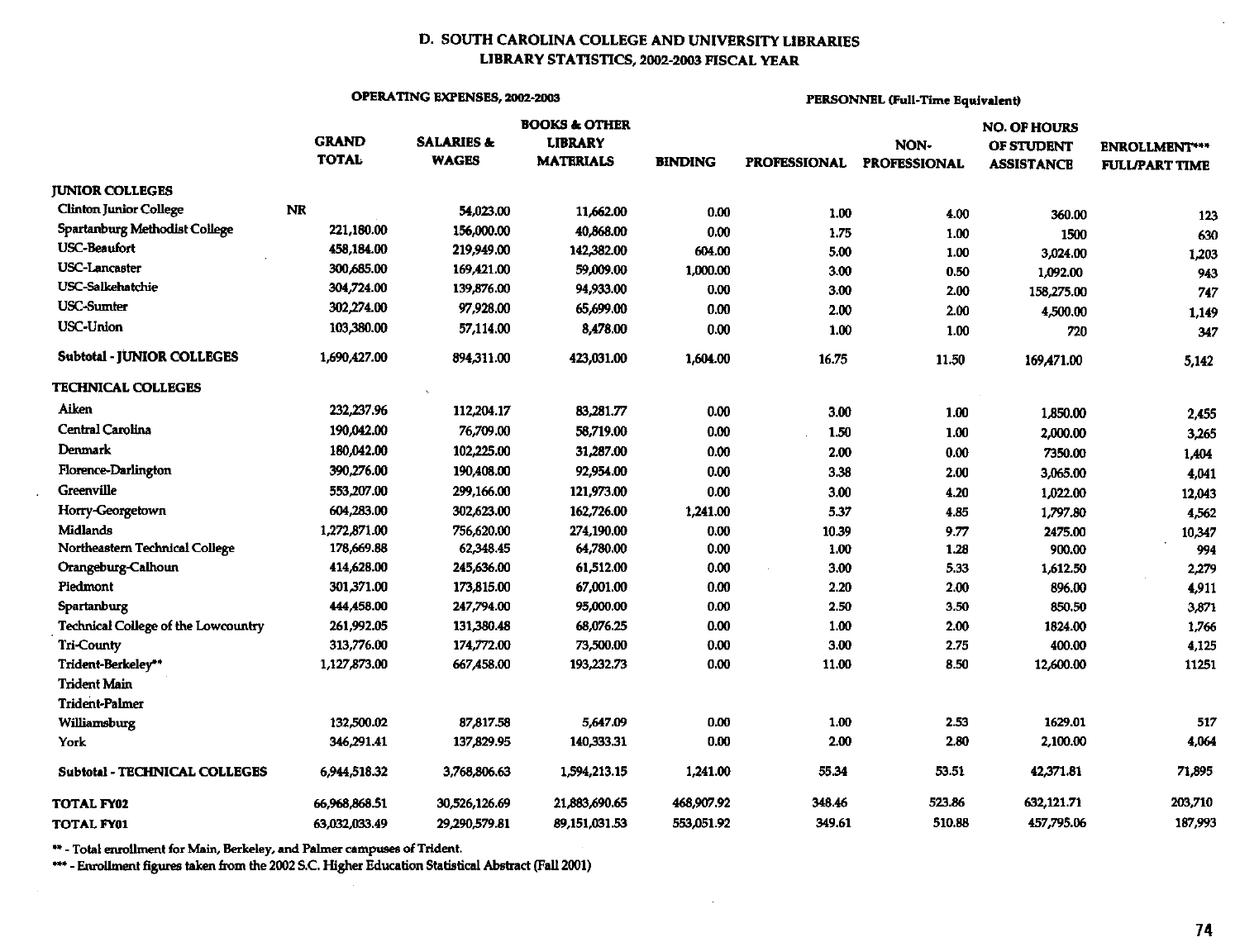## D. SOUTH CAROLINA COLLEGE AND UNIVERSITY LIBRARIES LIBRARY STATISTICS, 2002-2003 FISCAL YEAR

## OPERATING EXPENSES, 2002-2003

## PERSONNEL (Full-Time Equivalent)

|                                     |               |                       | <b>BOOKS &amp; OTHER</b> |                | <b>NO. OF HOURS</b> |                     |                   |                       |
|-------------------------------------|---------------|-----------------------|--------------------------|----------------|---------------------|---------------------|-------------------|-----------------------|
|                                     | <b>GRAND</b>  | <b>SALARIES &amp;</b> |                          | <b>LIBRARY</b> |                     | NON-                | OF STUDENT        | <b>ENROLLMENT***</b>  |
|                                     | <b>TOTAL</b>  | <b>WAGES</b>          | <b>MATERIALS</b>         | <b>BINDING</b> | <b>PROFESSIONAL</b> | <b>PROFESSIONAL</b> | <b>ASSISTANCE</b> | <b>FULL/PART TIME</b> |
| <b>JUNIOR COLLEGES</b>              |               |                       |                          |                |                     |                     |                   |                       |
| <b>Clinton Junior College</b>       | <b>NR</b>     | 54,023.00             | 11,662.00                | 0.00           | 1.00                | 4.00                | 360.00            | 123                   |
| Spartanburg Methodist College       | 221,180.00    | 156,000.00            | 40,868.00                | 0.00           | 1.75                | 1.00                | 1500              | 630                   |
| <b>USC-Beaufort</b>                 | 458,184.00    | 219,949.00            | 142,382.00               | 604.00         | 5.00                | 1.00                | 3,024.00          | 1,203                 |
| <b>USC-Lancaster</b>                | 300,685.00    | 169,421.00            | 59,009.00                | 1,000.00       | 3.00                | 0.50                | 1,092.00          | 943                   |
| <b>USC-Salkehatchie</b>             | 304,724.00    | 139,876.00            | 94,933.00                | 0.00           | 3.00                | 2.00                | 158,275.00        | 747                   |
| <b>USC-Sumter</b>                   | 302,274.00    | 97,928.00             | 65,699.00                | 0.00           | 2.00                | 2.00                | 4,500.00          | 1,149                 |
| <b>USC-Union</b>                    | 103,380.00    | 57,114.00             | 8,478.00                 | 0.00           | 1.00                | 1.00                | 720               | 347                   |
| <b>Subtotal - JUNIOR COLLEGES</b>   | 1,690,427.00  | 894,311.00            | 423,031.00               | 1,604.00       | 16.75               | 11.50               | 169,471.00        | 5,142                 |
| <b>TECHNICAL COLLEGES</b>           |               |                       |                          |                |                     |                     |                   |                       |
| Aiken                               | 232,237.96    | 112,204.17            | 83,281.77                | 0.00           | 3.00                | 1.00                | 1,850.00          | 2,455                 |
| <b>Central Carolina</b>             | 190,042.00    | 76,709.00             | 58,719.00                | 0.00           | 1.50                | 1.00                | 2,000.00          | 3,265                 |
| Denmark                             | 180,042.00    | 102,225.00            | 31,287.00                | 0.00           | 2.00                | 0.00                | 7350.00           | 1,404                 |
| Florence-Darlington                 | 390,276.00    | 190,408.00            | 92,954.00                | 0.00           | 3.38                | 2.00                | 3,065.00          | 4,041                 |
| Greenville                          | 553,207.00    | 299,166.00            | 121,973.00               | 0.00           | 3.00                | 4.20                | 1,022.00          | 12,043                |
| Horry-Georgetown                    | 604,283.00    | 302,623.00            | 162,726.00               | 1,241.00       | 5.37                | 4.85                | 1,797.80          | 4,562                 |
| <b>Midlands</b>                     | 1,272,871.00  | 756,620.00            | 274,190.00               | 0.00           | 10.39               | 9.77                | 2475.00           | 10,347                |
| Northeastern Technical College      | 178,669.88    | 62,348.45             | 64,780.00                | 0.00           | 1.00                | 1.28                | 900.00            | 994                   |
| Orangeburg-Calhoun                  | 414,628.00    | 245,636.00            | 61,512.00                | 0.00           | 3.00                | 5.33                | 1,612.50          | 2,279                 |
| Piedmont                            | 301,371.00    | 173,815.00            | 67,001.00                | 0.00           | 2.20                | 2.00                | 896.00            | 4,911                 |
| Spartanburg                         | 444,458.00    | 247,794.00            | 95,000.00                | $0.00\,$       | 2.50                | 3.50                | 850.50            | 3,871                 |
| Technical College of the Lowcountry | 261,992.05    | 131,380.48            | 68,076.25                | 0.00           | 1.00                | 2.00                | 1824.00           | 1,766                 |
| <b>Tri-County</b>                   | 313,776.00    | 174,772.00            | 73,500.00                | 0.00           | 3.00                | 2.75                | 400.00            | 4,125                 |
| Trident-Berkeley**                  | 1,127,873.00  | 667,458.00            | 193,232.73               | 0.00           | 11.00               | 8.50                | 12,600.00         | 11251                 |
| <b>Trident Main</b>                 |               |                       |                          |                |                     |                     |                   |                       |
| <b>Trident-Palmer</b>               |               |                       |                          |                |                     |                     |                   |                       |
| Williamsburg                        | 132,500.02    | 87,817.58             | 5,647.09                 | 0.00           | 1.00                | 2.53                | 1629.01           | 517                   |
| York                                | 346,291.41    | 137,829.95            | 140,333.31               | 0.00           | 2.00                | 2.80                | 2,100.00          | 4,064                 |
| Subtotal - TECHNICAL COLLEGES       | 6,944,518.32  | 3,768,806.63          | 1,594,213.15             | 1,241.00       | 55.34               | 53.51               | 42,371.81         | 71,895                |
| TOTAL FY02                          | 66.968,868.51 | 30,526,126.69         | 21,883,690.65            | 468,907.92     | 348.46              | 523.86              | 632,121.71        | 203,710               |
| <b>TOTAL FY01</b>                   | 63,032,033.49 | 29,290,579.81         | 89,151,031.53            | 553,051.92     | 349.61              | 510.88              | 457,795.06        | 187,993               |

\*\* - Total enrollment for Main, Berkeley, and Palmer campuses of Trident.<br>\*\*\* - Enrollment figures taken from the 2002 S.C. Higher Education Statistical Abstract (Fall 2001)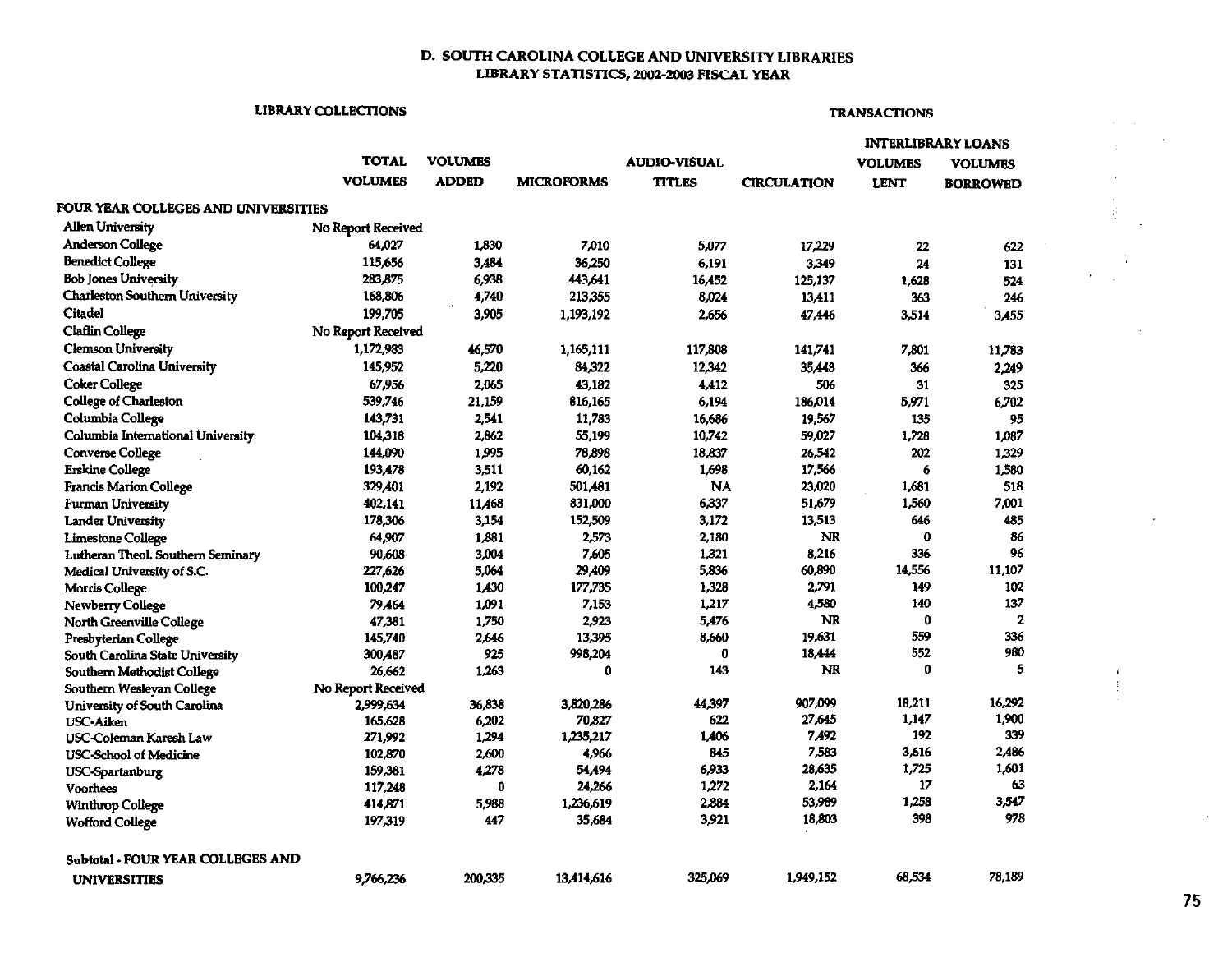## D. SOUTH CAROLINA COLLEGE AND UNIVERSITY LIBRARIES LIBRARY STATISTICS, 2002-2003 FISCAL YEAR

## LIBRARY COLLECTIONS TRANSACTIONS

|                                       |                    |                |                   |                     |                    |                | <b>INTERLIBRARY LOANS</b> |
|---------------------------------------|--------------------|----------------|-------------------|---------------------|--------------------|----------------|---------------------------|
|                                       | TOTAL              | <b>VOLUMES</b> |                   | <b>AUDIO-VISUAL</b> |                    | <b>VOLUMES</b> | VOLUMES                   |
|                                       | <b>VOLUMES</b>     | <b>ADDED</b>   | <b>MICROFORMS</b> | <b>TITLES</b>       | <b>CIRCULATION</b> | <b>LENT</b>    | <b>BORROWED</b>           |
| FOUR YEAR COLLEGES AND UNIVERSITIES   |                    |                |                   |                     |                    |                |                           |
| <b>Allen University</b>               | No Report Received |                |                   |                     |                    |                |                           |
| <b>Anderson College</b>               | 64,027             | 1,830          | 7,010             | 5,077               | 17,229             | 22             | 622                       |
| <b>Benedict College</b>               | 115,656            | 3.484          | 36.250            | 6.191               | 3,349              | 24             | 131                       |
| <b>Bob Jones University</b>           | 283,875            | 6,938          | 443,641           | 16,452              | 125.137            | 1,628          | 524                       |
| <b>Charleston Southern University</b> | 168,806            | 4,740          | 213,355           | 8,024               | 13,411             | 363            | 246                       |
| Citadel                               | 199,705            | 3,905          | 1,193,192         | 2,656               | 47,446             | 3,514          | 3,455                     |
| <b>Claflin College</b>                | No Report Received |                |                   |                     |                    |                |                           |
| <b>Clemson University</b>             | 1,172,983          | 46,570         | 1,165,111         | 117,808             | 141,741            | 7,801          | 11,783                    |
| <b>Coastal Carolina University</b>    | 145,952            | 5,220          | 84,322            | 12,342              | 35.443             | 366            | 2,249                     |
| <b>Coker College</b>                  | 67,956             | 2,065          | 43,182            | 4.412               | 506                | 31             | 325                       |
| <b>College of Charleston</b>          | 539,746            | 21,159         | 816,165           | 6,194               | 186,014            | 5,971          | 6,702                     |
| Columbia College                      | 143,731            | 2,541          | 11,783            | 16,686              | 19,567             | 135            | 95                        |
| Columbia International University     | 104,318            | 2,862          | 55.199            | 10,742              | 59,027             | 1,728          | 1,087                     |
| Converse College                      | 144.090            | 1,995          | 78,898            | 18.837              | 26,542             | 202            | 1,329                     |
| <b>Erskine College</b>                | 193,478            | 3,511          | 60,162            | 1,698               | 17,566             | 6              | 1,580                     |
| <b>Francis Marion College</b>         | 329,401            | 2,192          | 501,481           | NA                  | 23,020             | 1,681          | 518                       |
| <b>Furman University</b>              | 402,141            | 11,468         | 831,000           | 6,337               | 51,679             | 1,560          | 7,001                     |
| <b>Lander University</b>              | 178,306            | 3,154          | 152,509           | 3,172               | 13,513             | 646            | 485                       |
| <b>Limestone College</b>              | 64,907             | 1,881          | 2,573             | 2,180               | <b>NR</b>          | $\bf{0}$       | 86                        |
| Lutheran Theol. Southern Seminary     | 90,608             | 3,004          | 7,605             | 1,321               | 8,216              | 336            | 96                        |
| Medical University of S.C.            | 227,626            | 5,064          | 29,409            | 5,836               | 60.890             | 14,556         | 11,107                    |
| <b>Morris College</b>                 | 100,247            | 1,430          | 177,735           | 1,328               | 2,791              | 149            | 102                       |
| Newberry College                      | 79.464             | 1,091          | 7,153             | 1,217               | 4,580              | 140            | 137                       |
| North Greenville College              | 47,381             | 1,750          | 2,923             | 5,476               | <b>NR</b>          | 0              | $\mathbf{2}$              |
| Presbyterian College                  | 145,740            | 2,646          | 13,395            | 8,660               | 19.631             | 559            | 336                       |
| South Carolina State University       | 300,487            | 925            | 998,204           | 0                   | 18,444             | 552            | 980                       |
| <b>Southern Methodist College</b>     | 26,662             | 1,263          | 0                 | 143                 | <b>NR</b>          | 0              | 5                         |
| Southern Wesleyan College             | No Report Received |                |                   |                     |                    |                |                           |
| University of South Carolina          | 2,999,634          | 36,838         | 3,820,286         | 44,397              | 907,099            | 18,211         | 16,292                    |
| <b>USC-Aiken</b>                      | 165,628            | 6,202          | 70,827            | 622                 | 27,645             | 1.147          | 1,900                     |
| USC-Coleman Karesh Law                | 271,992            | 1,294          | 1,235,217         | 1,406               | 7,492              | 192            | 339                       |
| <b>USC-School of Medicine</b>         | 102,870            | 2,600          | 4,966             | 845                 | 7,583              | 3,616          | 2,486                     |
| USC-Spartanburg                       | 159,381            | 4,278          | 54,494            | 6,933               | 28,635             | 1,725          | 1,601                     |
| Voorhees                              | 117,248            | 0              | 24,266            | 1,272               | 2,164              | 17             | 63                        |
| <b>Winthrop College</b>               | 414,871            | 5,988          | 1,236,619         | 2,884               | 53,989             | 1,258          | 3,547                     |
| <b>Wofford College</b>                | 197,319            | 447            | 35.684            | 3,921               | 18,803             | 398            | 978                       |
| Subtotal - FOUR YEAR COLLEGES AND     |                    |                |                   |                     |                    |                |                           |
| <b>UNIVERSITIES</b>                   | 9,766,236          | 200.335        | 13,414,616        | 325,069             | 1,949,152          | 68,534         | 78,189                    |

75

 $\cdot$ 

÷

 $\mathbf{f}$